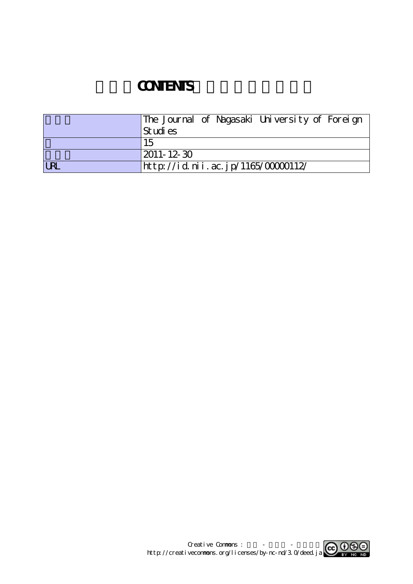## **CONTENTS**

|            | The Journal of Nagasaki University of Foreign |
|------------|-----------------------------------------------|
|            | St udi es                                     |
|            | 15                                            |
|            | $ 2011 - 12 - 30 $                            |
| <b>LRL</b> | http://id.nii.ac.jp/1165/00000112/            |